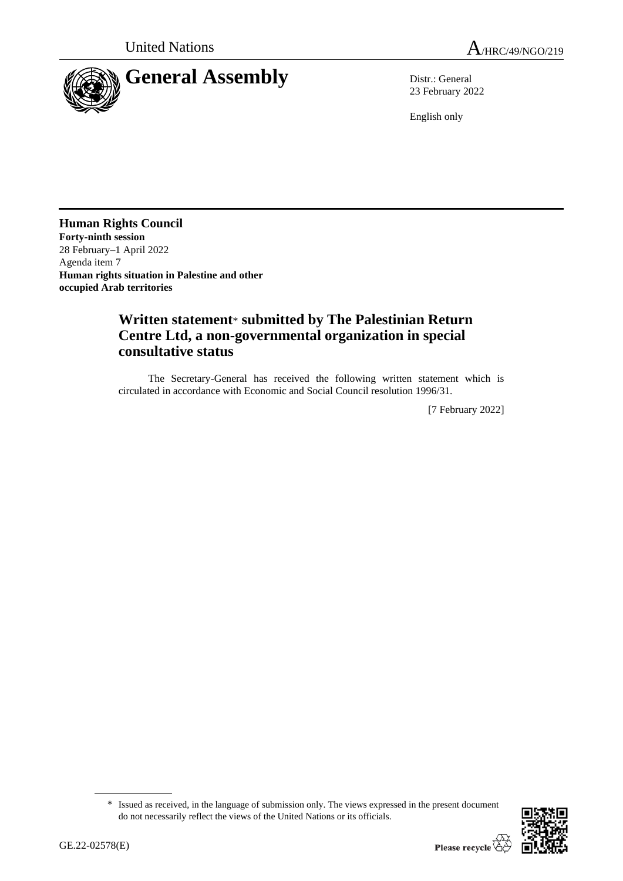



23 February 2022

English only

**Human Rights Council Forty-ninth session** 28 February–1 April 2022 Agenda item 7 **Human rights situation in Palestine and other occupied Arab territories**

# **Written statement**\* **submitted by The Palestinian Return Centre Ltd, a non-governmental organization in special consultative status**

The Secretary-General has received the following written statement which is circulated in accordance with Economic and Social Council resolution 1996/31.

[7 February 2022]

<sup>\*</sup> Issued as received, in the language of submission only. The views expressed in the present document do not necessarily reflect the views of the United Nations or its officials.

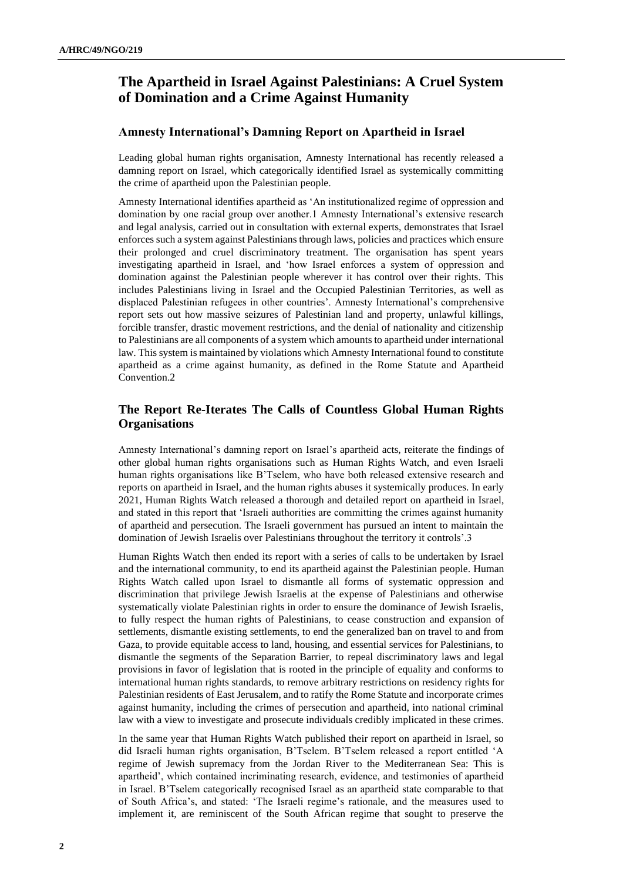## **The Apartheid in Israel Against Palestinians: A Cruel System of Domination and a Crime Against Humanity**

## **Amnesty International's Damning Report on Apartheid in Israel**

Leading global human rights organisation, Amnesty International has recently released a damning report on Israel, which categorically identified Israel as systemically committing the crime of apartheid upon the Palestinian people.

Amnesty International identifies apartheid as 'An institutionalized regime of oppression and domination by one racial group over another.1 Amnesty International's extensive research and legal analysis, carried out in consultation with external experts, demonstrates that Israel enforces such a system against Palestinians through laws, policies and practices which ensure their prolonged and cruel discriminatory treatment. The organisation has spent years investigating apartheid in Israel, and 'how Israel enforces a system of oppression and domination against the Palestinian people wherever it has control over their rights. This includes Palestinians living in Israel and the Occupied Palestinian Territories, as well as displaced Palestinian refugees in other countries'. Amnesty International's comprehensive report sets out how massive seizures of Palestinian land and property, unlawful killings, forcible transfer, drastic movement restrictions, and the denial of nationality and citizenship to Palestinians are all components of a system which amounts to apartheid under international law. This system is maintained by violations which Amnesty International found to constitute apartheid as a crime against humanity, as defined in the Rome Statute and Apartheid Convention.2

## **The Report Re-Iterates The Calls of Countless Global Human Rights Organisations**

Amnesty International's damning report on Israel's apartheid acts, reiterate the findings of other global human rights organisations such as Human Rights Watch, and even Israeli human rights organisations like B'Tselem, who have both released extensive research and reports on apartheid in Israel, and the human rights abuses it systemically produces. In early 2021, Human Rights Watch released a thorough and detailed report on apartheid in Israel, and stated in this report that 'Israeli authorities are committing the crimes against humanity of apartheid and persecution. The Israeli government has pursued an intent to maintain the domination of Jewish Israelis over Palestinians throughout the territory it controls'.3

Human Rights Watch then ended its report with a series of calls to be undertaken by Israel and the international community, to end its apartheid against the Palestinian people. Human Rights Watch called upon Israel to dismantle all forms of systematic oppression and discrimination that privilege Jewish Israelis at the expense of Palestinians and otherwise systematically violate Palestinian rights in order to ensure the dominance of Jewish Israelis, to fully respect the human rights of Palestinians, to cease construction and expansion of settlements, dismantle existing settlements, to end the generalized ban on travel to and from Gaza, to provide equitable access to land, housing, and essential services for Palestinians, to dismantle the segments of the Separation Barrier, to repeal discriminatory laws and legal provisions in favor of legislation that is rooted in the principle of equality and conforms to international human rights standards, to remove arbitrary restrictions on residency rights for Palestinian residents of East Jerusalem, and to ratify the Rome Statute and incorporate crimes against humanity, including the crimes of persecution and apartheid, into national criminal law with a view to investigate and prosecute individuals credibly implicated in these crimes.

In the same year that Human Rights Watch published their report on apartheid in Israel, so did Israeli human rights organisation, B'Tselem. B'Tselem released a report entitled 'A regime of Jewish supremacy from the Jordan River to the Mediterranean Sea: This is apartheid', which contained incriminating research, evidence, and testimonies of apartheid in Israel. B'Tselem categorically recognised Israel as an apartheid state comparable to that of South Africa's, and stated: 'The Israeli regime's rationale, and the measures used to implement it, are reminiscent of the South African regime that sought to preserve the